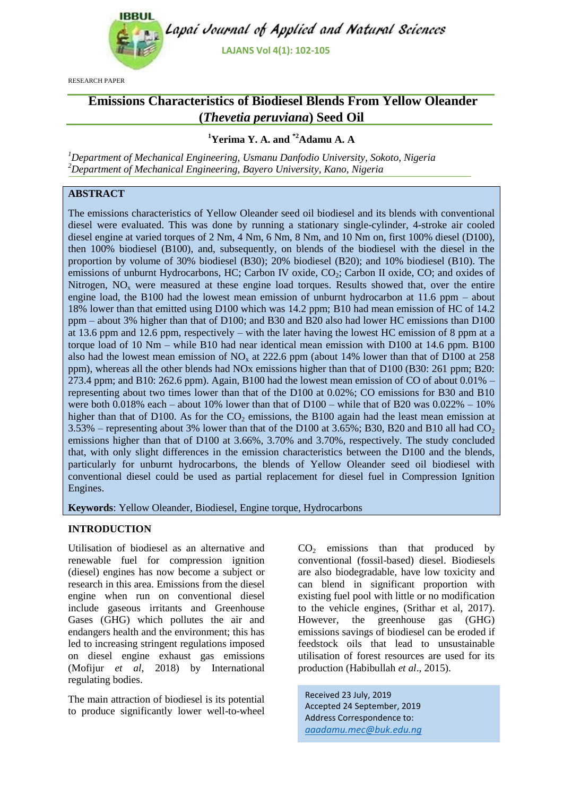

RESEARCH PAPER

# **Emissions Characteristics of Biodiesel Blends From Yellow Oleander (***Thevetia peruviana***) Seed Oil**

# **<sup>1</sup>Yerima Y. A. and \*2Adamu A. A**

*<sup>1</sup>Department of Mechanical Engineering, Usmanu Danfodio University, Sokoto, Nigeria <sup>2</sup>Department of Mechanical Engineering, Bayero University, Kano, Nigeria*

# **ABSTRACT**

The emissions characteristics of Yellow Oleander seed oil biodiesel and its blends with conventional diesel were evaluated. This was done by running a stationary single-cylinder, 4-stroke air cooled diesel engine at varied torques of 2 Nm, 4 Nm, 6 Nm, 8 Nm, and 10 Nm on, first 100% diesel (D100), then 100% biodiesel (B100), and, subsequently, on blends of the biodiesel with the diesel in the proportion by volume of 30% biodiesel (B30); 20% biodiesel (B20); and 10% biodiesel (B10). The emissions of unburnt Hydrocarbons, HC; Carbon IV oxide, CO<sub>2</sub>; Carbon II oxide, CO; and oxides of Nitrogen, NO<sub>x</sub> were measured at these engine load torques. Results showed that, over the entire engine load, the B100 had the lowest mean emission of unburnt hydrocarbon at 11.6 ppm – about 18% lower than that emitted using D100 which was 14.2 ppm; B10 had mean emission of HC of 14.2 ppm – about 3% higher than that of D100; and B30 and B20 also had lower HC emissions than D100 at 13.6 ppm and 12.6 ppm, respectively – with the later having the lowest HC emission of 8 ppm at a torque load of 10 Nm – while B10 had near identical mean emission with D100 at 14.6 ppm. B100 also had the lowest mean emission of  $NO<sub>x</sub>$  at 222.6 ppm (about 14% lower than that of D100 at 258 ppm), whereas all the other blends had NOx emissions higher than that of D100 (B30: 261 ppm; B20: 273.4 ppm; and B10: 262.6 ppm). Again, B100 had the lowest mean emission of CO of about 0.01% – representing about two times lower than that of the D100 at 0.02%; CO emissions for B30 and B10 were both 0.018% each – about 10% lower than that of D100 – while that of B20 was  $0.022\% - 10\%$ higher than that of D100. As for the  $CO<sub>2</sub>$  emissions, the B100 again had the least mean emission at 3.53% – representing about 3% lower than that of the D100 at 3.65%; B30, B20 and B10 all had  $CO<sub>2</sub>$ emissions higher than that of D100 at 3.66%, 3.70% and 3.70%, respectively. The study concluded that, with only slight differences in the emission characteristics between the D100 and the blends, particularly for unburnt hydrocarbons, the blends of Yellow Oleander seed oil biodiesel with conventional diesel could be used as partial replacement for diesel fuel in Compression Ignition Engines.

**Keywords**: Yellow Oleander, Biodiesel, Engine torque, Hydrocarbons

# **INTRODUCTION**

Utilisation of biodiesel as an alternative and renewable fuel for compression ignition (diesel) engines has now become a subject or research in this area. Emissions from the diesel engine when run on conventional diesel include gaseous irritants and Greenhouse Gases (GHG) which pollutes the air and endangers health and the environment; this has led to increasing stringent regulations imposed on diesel engine exhaust gas emissions (Mofijur *et al*, 2018) by International regulating bodies.

The main attraction of biodiesel is its potential to produce significantly lower well-to-wheel  $CO<sub>2</sub>$  emissions than that produced by conventional (fossil-based) diesel. Biodiesels are also biodegradable, have low toxicity and can blend in significant proportion with existing fuel pool with little or no modification to the vehicle engines, (Srithar et al, 2017). However, the greenhouse gas (GHG) emissions savings of biodiesel can be eroded if feedstock oils that lead to unsustainable utilisation of forest resources are used for its production (Habibullah *et al*., 2015).

Received 23 July, 2019 Accepted 24 September, 2019 Address Correspondence to: *aaadamu.mec@buk.edu.ng*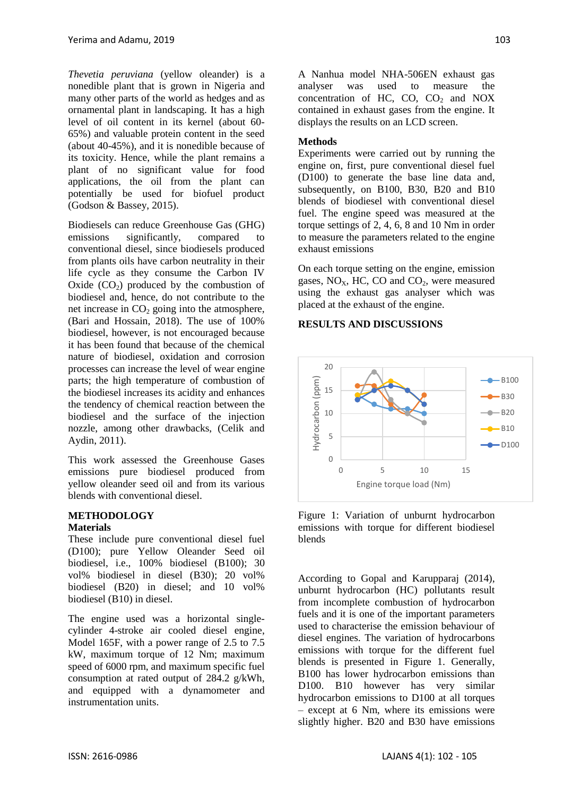*Thevetia peruviana* (yellow oleander) is a nonedible plant that is grown in Nigeria and many other parts of the world as hedges and as ornamental plant in landscaping. It has a high level of oil content in its kernel (about 60- 65%) and valuable protein content in the seed (about 40-45%), and it is nonedible because of its toxicity. Hence, while the plant remains a plant of no significant value for food applications, the oil from the plant can potentially be used for biofuel product (Godson & Bassey, 2015).

Biodiesels can reduce Greenhouse Gas (GHG) emissions significantly, compared to conventional diesel, since biodiesels produced from plants oils have carbon neutrality in their life cycle as they consume the Carbon IV Oxide  $(CO<sub>2</sub>)$  produced by the combustion of biodiesel and, hence, do not contribute to the net increase in  $CO<sub>2</sub>$  going into the atmosphere, (Bari and Hossain, 2018). The use of 100% biodiesel, however, is not encouraged because it has been found that because of the chemical nature of biodiesel, oxidation and corrosion processes can increase the level of wear engine parts; the high temperature of combustion of the biodiesel increases its acidity and enhances the tendency of chemical reaction between the biodiesel and the surface of the injection nozzle, among other drawbacks, (Celik and Aydin, 2011).

This work assessed the Greenhouse Gases emissions pure biodiesel produced from yellow oleander seed oil and from its various blends with conventional diesel.

## **METHODOLOGY**

#### **Materials**

These include pure conventional diesel fuel (D100); pure Yellow Oleander Seed oil biodiesel, i.e., 100% biodiesel (B100); 30 vol% biodiesel in diesel (B30); 20 vol% biodiesel (B20) in diesel; and 10 vol% biodiesel (B10) in diesel.

The engine used was a horizontal singlecylinder 4-stroke air cooled diesel engine, Model 165F, with a power range of 2.5 to 7.5 kW, maximum torque of 12 Nm; maximum speed of 6000 rpm, and maximum specific fuel consumption at rated output of 284.2 g/kWh, and equipped with a dynamometer and instrumentation units.

A Nanhua model NHA-506EN exhaust gas analyser was used to measure the concentration of HC,  $CO$ ,  $CO<sub>2</sub>$  and NOX contained in exhaust gases from the engine. It displays the results on an LCD screen.

### **Methods**

Experiments were carried out by running the engine on, first, pure conventional diesel fuel (D100) to generate the base line data and, subsequently, on B100, B30, B20 and B10 blends of biodiesel with conventional diesel fuel. The engine speed was measured at the torque settings of 2, 4, 6, 8 and 10 Nm in order to measure the parameters related to the engine exhaust emissions

On each torque setting on the engine, emission gases,  $NO<sub>x</sub>$ , HC, CO and CO<sub>2</sub>, were measured using the exhaust gas analyser which was placed at the exhaust of the engine.

#### **RESULTS AND DISCUSSIONS**



Figure 1: Variation of unburnt hydrocarbon emissions with torque for different biodiesel blends

According to Gopal and Karupparaj (2014), unburnt hydrocarbon (HC) pollutants result from incomplete combustion of hydrocarbon fuels and it is one of the important parameters used to characterise the emission behaviour of diesel engines. The variation of hydrocarbons emissions with torque for the different fuel blends is presented in Figure 1. Generally, B100 has lower hydrocarbon emissions than D100. B10 however has very similar hydrocarbon emissions to D100 at all torques – except at 6 Nm, where its emissions were slightly higher. B20 and B30 have emissions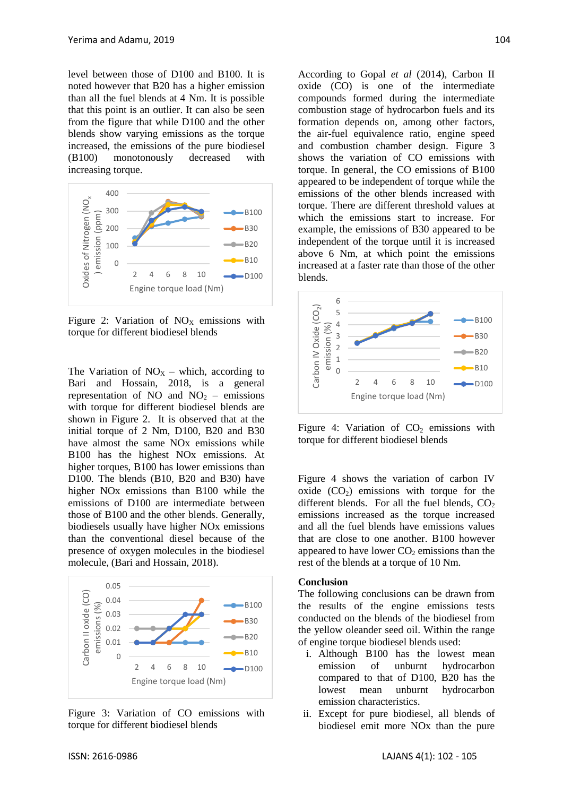level between those of D100 and B100. It is noted however that B20 has a higher emission than all the fuel blends at 4 Nm. It is possible that this point is an outlier. It can also be seen from the figure that while D100 and the other blends show varying emissions as the torque increased, the emissions of the pure biodiesel (B100) monotonously decreased with increasing torque.



Figure 2: Variation of  $NO<sub>x</sub>$  emissions with torque for different biodiesel blends

The Variation of  $NO<sub>X</sub>$  – which, according to Bari and Hossain, 2018, is a general representation of NO and  $NO<sub>2</sub>$  – emissions with torque for different biodiesel blends are shown in Figure 2. It is observed that at the initial torque of 2 Nm, D100, B20 and B30 have almost the same NOx emissions while B100 has the highest NOx emissions. At higher torques, B100 has lower emissions than D100. The blends (B10, B20 and B30) have higher NOx emissions than B100 while the emissions of D100 are intermediate between those of B100 and the other blends. Generally, biodiesels usually have higher NOx emissions than the conventional diesel because of the presence of oxygen molecules in the biodiesel molecule, (Bari and Hossain, 2018).



Figure 3: Variation of CO emissions with torque for different biodiesel blends

According to Gopal *et al* (2014), Carbon II oxide (CO) is one of the intermediate compounds formed during the intermediate combustion stage of hydrocarbon fuels and its formation depends on, among other factors, the air-fuel equivalence ratio, engine speed and combustion chamber design. Figure 3 shows the variation of CO emissions with torque. In general, the CO emissions of B100 appeared to be independent of torque while the emissions of the other blends increased with torque. There are different threshold values at which the emissions start to increase. For example, the emissions of B30 appeared to be independent of the torque until it is increased above 6 Nm, at which point the emissions increased at a faster rate than those of the other blends.



Figure 4: Variation of  $CO<sub>2</sub>$  emissions with torque for different biodiesel blends

Figure 4 shows the variation of carbon IV oxide  $(CO<sub>2</sub>)$  emissions with torque for the different blends. For all the fuel blends,  $CO<sub>2</sub>$ emissions increased as the torque increased and all the fuel blends have emissions values that are close to one another. B100 however appeared to have lower  $CO<sub>2</sub>$  emissions than the rest of the blends at a torque of 10 Nm.

#### **Conclusion**

The following conclusions can be drawn from the results of the engine emissions tests conducted on the blends of the biodiesel from the yellow oleander seed oil. Within the range of engine torque biodiesel blends used:

- i. Although B100 has the lowest mean emission of unburnt hydrocarbon compared to that of D100, B20 has the lowest mean unburnt hydrocarbon emission characteristics.
- ii. Except for pure biodiesel, all blends of biodiesel emit more NOx than the pure